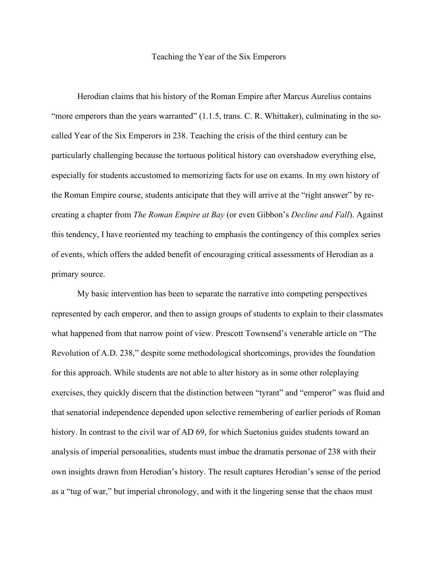## Teaching the Year of the Six Emperors

Herodian claims that his history of the Roman Empire after Marcus Aurelius contains "more emperors than the years warranted" (1.1.5, trans. C. R. Whittaker), culminating in the socalled Year of the Six Emperors in 238. Teaching the crisis of the third century can be particularly challenging because the tortuous political history can overshadow everything else, especially for students accustomed to memorizing facts for use on exams. In my own history of the Roman Empire course, students anticipate that they will arrive at the "right answer" by recreating a chapter from *The Roman Empire at Bay* (or even Gibbon's *Decline and Fall*). Against this tendency, I have reoriented my teaching to emphasis the contingency of this complex series of events, which offers the added benefit of encouraging critical assessments of Herodian as a primary source.

My basic intervention has been to separate the narrative into competing perspectives represented by each emperor, and then to assign groups of students to explain to their classmates what happened from that narrow point of view. Prescott Townsend's venerable article on "The Revolution of A.D. 238," despite some methodological shortcomings, provides the foundation for this approach. While students are not able to alter history as in some other roleplaying exercises, they quickly discern that the distinction between "tyrant" and "emperor" was fluid and that senatorial independence depended upon selective remembering of earlier periods of Roman history. In contrast to the civil war of AD 69, for which Suetonius guides students toward an analysis of imperial personalities, students must imbue the dramatis personae of 238 with their own insights drawn from Herodian's history. The result captures Herodian's sense of the period as a "tug of war," but imperial chronology, and with it the lingering sense that the chaos must